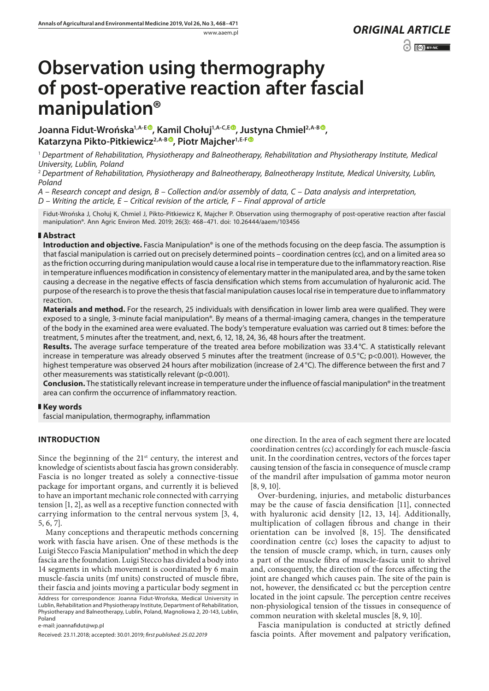# **Observation using thermography of post-operative reaction after fascial manipulation®**

Joanna Fidut-Wrońska<sup>1,A-E®</sup>, Kamil Chołuj<sup>1,A-C,E®</sup>, Justyna Chmiel<sup>2,A-[B](https://orcid.org/0000-0002-6418-2347)®</sup>, **Katarzyna Pikto-Pitkiewicz2,A-B [,](https://orcid.org/0000-0002-9206-3564) Piotr Majcher1,E-[F](https://orcid.org/0000-0003-2805-2083)**

<sup>1</sup> *Department of Rehabilitation, Physiotherapy and Balneotherapy, Rehabilitation and Physiotherapy Institute, Medical University, Lublin, Poland*

<sup>2</sup> *Department of Rehabilitation, Physiotherapy and Balneotherapy, Balneotherapy Institute, Medical University, Lublin, Poland*

*A – Research concept and design, B – Collection and/or assembly of data, C – Data analysis and interpretation, D – Writing the article, E – Critical revision of the article, F – Final approval of article*

Fidut-Wrońska J, Chołuj K, Chmiel J, Pikto-Pitkiewicz K, Majcher P. Observation using thermography of post-operative reaction after fascial manipulation®. Ann Agric Environ Med. 2019; 26(3): 468–471. doi: 10.26444/aaem/103456

## **Abstract**

**Introduction and objective.** Fascia Manipulation® is one of the methods focusing on the deep fascia. The assumption is that fascial manipulation is carried out on precisely determined points – coordination centres (cc), and on a limited area so as the friction occurring during manipulation would cause a local rise in temperature due to the inflammatory reaction. Rise in temperature influences modification in consistency of elementary matter in the manipulated area, and by the same token causing a decrease in the negative effects of fascia densification which stems from accumulation of hyaluronic acid. The purpose of the research is to prove the thesis that fascial manipulation causes local rise in temperature due to inflammatory reaction.

**Materials and method.** For the research, 25 individuals with densification in lower limb area were qualified. They were exposed to a single, 3-minute facial manipulation®. By means of a thermal-imaging camera, changes in the temperature of the body in the examined area were evaluated. The body's temperature evaluation was carried out 8 times: before the treatment, 5 minutes after the treatment, and, next, 6, 12, 18, 24, 36, 48 hours after the treatment.

**Results.** The average surface temperature of the treated area before mobilization was 33.4 °C. A statistically relevant increase in temperature was already observed 5 minutes after the treatment (increase of 0.5°C; p<0.001). However, the highest temperature was observed 24 hours after mobilization (increase of 2.4 °C). The difference between the first and 7 other measurements was statistically relevant (p<0.001).

**Conclusion.** The statistically relevant increase in temperature under the influence of fascial manipulation® in the treatment area can confirm the occurrence of inflammatory reaction.

## **Key words**

fascial manipulation, thermography, inflammation

# **INTRODUCTION**

Since the beginning of the  $21<sup>st</sup>$  century, the interest and knowledge of scientists about fascia has grown considerably. Fascia is no longer treated as solely a connective-tissue package for important organs, and currently it is believed to have an important mechanic role connected with carrying tension [1, 2], as well as a receptive function connected with carrying information to the central nervous system [3, 4, 5, 6, 7].

Many conceptions and therapeutic methods concerning work with fascia have arisen. One of these methods is the Luigi Stecco Fascia Manipulation® method in which the deep fascia are the foundation. Luigi Stecco has divided a body into 14 segments in which movement is coordinated by 6 main muscle-fascia units (mf units) constructed of muscle fibre, their fascia and joints moving a particular body segment in Address for correspondence: Joanna Fidut-Wrońska, Medical University in Lublin, Rehabilitation and Physiotherapy Institute, Department of Rehabilitation, Physiotherapy and Balneotherapy, Lublin, Poland, Magnoliowa 2, 20-143, Lublin, Poland

e-mail: joannafidut@wp.pl

Received: 23.11.2018; accepted: 30.01.2019; *first published: 25.02.2019*

one direction. In the area of each segment there are located coordination centres (cc) accordingly for each muscle-fascia unit. In the coordination centres, vectors of the forces taper causing tension of the fascia in consequence of muscle cramp of the mandril after impulsation of gamma motor neuron [8, 9, 10].

Over-burdening, injuries, and metabolic disturbances may be the cause of fascia densification [11], connected with hyaluronic acid density [12, 13, 14]. Additionally, multiplication of collagen fibrous and change in their orientation can be involved [8, 15]. The densificated coordination centre (cc) loses the capacity to adjust to the tension of muscle cramp, which, in turn, causes only a part of the muscle fibra of muscle-fascia unit to shrivel and, consequently, the direction of the forces affecting the joint are changed which causes pain. The site of the pain is not, however, the densificated cc but the perception centre located in the joint capsule. The perception centre receives non-physiological tension of the tissues in consequence of common neuration with skeletal muscles [8, 9, 10].

Fascia manipulation is conducted at strictly defined fascia points. After movement and palpatory verification,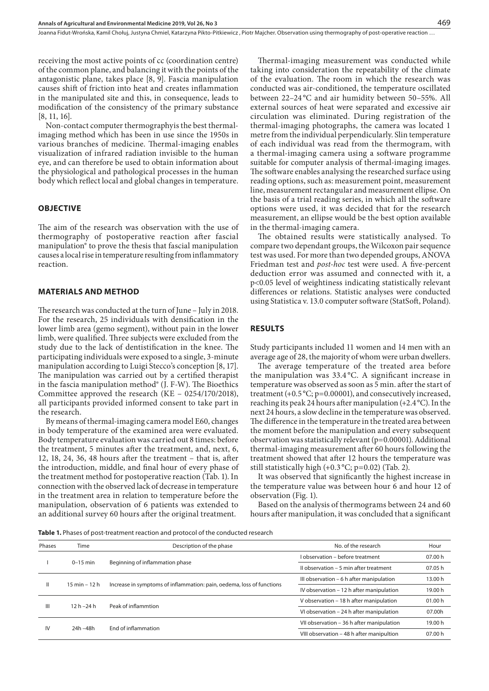Joanna Fidut-Wrońska, Kamil Chołuj, Justyna Chmiel, Katarzyna Pikto-Pitkiewicz , Piotr Majcher . Observation using thermography of post-operative reaction …

receiving the most active points of cc (coordination centre) of the common plane, and balancing it with the points of the antagonistic plane, takes place [8, 9]. Fascia manipulation causes shift of friction into heat and creates inflammation in the manipulated site and this, in consequence, leads to modification of the consistency of the primary substance [8, 11, 16].

Non-contact computer thermographyis the best thermalimaging method which has been in use since the 1950s in various branches of medicine. Thermal-imaging enables visualization of infrared radiation invisible to the human eye, and can therefore be used to obtain information about the physiological and pathological processes in the human body which reflect local and global changes in temperature.

#### **OBJECTIVE**

The aim of the research was observation with the use of thermography of postoperative reaction after fascial manipulation® to prove the thesis that fascial manipulation causes a local rise in temperature resulting from inflammatory reaction.

#### **MATERIALS AND METHOD**

The research was conducted at the turn of June – July in 2018. For the research, 25 individuals with densification in the lower limb area (gemo segment), without pain in the lower limb, were qualified. Three subjects were excluded from the study due to the lack of dentistification in the knee. The participating individuals were exposed to a single, 3-minute manipulation according to Luigi Stecco's conception [8, 17]. The manipulation was carried out by a certified therapist in the fascia manipulation method® (J. F-W). The Bioethics Committee approved the research (KE – 0254/170/2018), all participants provided informed consent to take part in the research.

By means of thermal-imaging camera model E60, changes in body temperature of the examined area were evaluated. Body temperature evaluation was carried out 8 times: before the treatment, 5 minutes after the treatment, and, next, 6, 12, 18, 24, 36, 48 hours after the treatment – that is, after the introduction, middle, and final hour of every phase of the treatment method for postoperative reaction (Tab. 1). In connection with the observed lack of decrease in temperature in the treatment area in relation to temperature before the manipulation, observation of 6 patients was extended to an additional survey 60 hours after the original treatment.

Thermal-imaging measurement was conducted while taking into consideration the repeatability of the climate of the evaluation. The room in which the research was conducted was air-conditioned, the temperature oscillated between 22–24 °C and air humidity between 50–55%. All external sources of heat were separated and excessive air circulation was eliminated. During registration of the thermal-imaging photographs, the camera was located 1 metre from the individual perpendicularly. Slin temperature of each individual was read from the thermogram, with a thermal-imaging camera using a software programme suitable for computer analysis of thermal-imaging images. The software enables analysing the researched surface using reading options, such as: measurement point, measurement line, measurement rectangular and measurement ellipse. On the basis of a trial reading series, in which all the software options were used, it was decided that for the research measurement, an ellipse would be the best option available in the thermal-imaging camera.

The obtained results were statistically analysed. To compare two dependant groups, the Wilcoxon pair sequence test was used. For more than two depended groups, ANOVA Friedman test and *post-hoc* test were used. A five-percent deduction error was assumed and connected with it, a p<0.05 level of weightiness indicating statistically relevant differences or relations. Statistic analyses were conducted using Statistica v. 13.0 computer software (StatSoft, Poland).

#### **RESULTS**

Study participants included 11 women and 14 men with an average age of 28, the majority of whom were urban dwellers.

The average temperature of the treated area before the manipulation was 33.4 °C. A significant increase in temperature was observed as soon as 5 min. after the start of treatment (+0.5 °C; p=0.00001), and consecutively increased, reaching its peak 24 hours after manipulation (+2.4°C). In the next 24 hours, a slow decline in the temperature was observed. The difference in the temperature in the treated area between the moment before the manipulation and every subsequent observation was statistically relevant (p=0.00001). Additional thermal-imaging measurement after 60 hours following the treatment showed that after 12 hours the temperature was still statistically high  $(+0.3 °C; p=0.02)$  (Tab. 2).

It was observed that significantly the highest increase in the temperature value was between hour 6 and hour 12 of observation (Fig. 1).

Based on the analysis of thermograms between 24 and 60 hours after manipulation, it was concluded that a significant

**Table 1.** Phases of post-treatment reaction and protocol of the conducted research

| Phases | Time                            | Description of the phase                                              | No. of the research                       | Hour    |
|--------|---------------------------------|-----------------------------------------------------------------------|-------------------------------------------|---------|
|        | $0-15$ min                      |                                                                       | I observation - before treatment          | 07.00 h |
|        |                                 | Beginning of inflammation phase                                       | Il observation - 5 min after treatment    | 07.05 h |
| Ш      | $15 \text{ min} - 12 \text{ h}$ |                                                                       | III observation - 6 h after manipulation  | 13.00 h |
|        |                                 | Increase in symptoms of inflammation: pain, oedema, loss of functions | IV observation - 12 h after manipulation  | 19.00 h |
| Ш      | $12h - 24h$                     | Peak of inflammtion                                                   | V observation – 18 h after manipulation   | 01.00 h |
|        |                                 |                                                                       | VI observation - 24 h after manipulation  | 07.00h  |
| IV     | 24h -48h                        | End of inflammation                                                   | VII observation - 36 h after manipulation | 19.00 h |
|        |                                 |                                                                       | VIII observation - 48 h after manipultion | 07.00 h |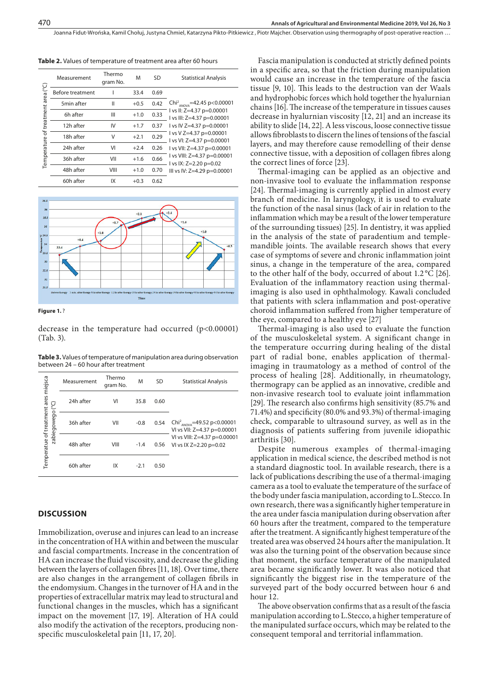Joanna Fidut-Wrońska, Kamil Chołuj, Justyna Chmiel, Katarzyna Pikto-Pitkiewicz , Piotr Majcher . Observation using thermography of post-operative reaction …

|                                          | Measurement      | Thermo<br>gram No. | M      | SD   | <b>Statistical Analysis</b>                                                                                                                                                                                                                                                                                                       |
|------------------------------------------|------------------|--------------------|--------|------|-----------------------------------------------------------------------------------------------------------------------------------------------------------------------------------------------------------------------------------------------------------------------------------------------------------------------------------|
| area (°C)<br>of treatment<br>Temperature | Before treatment |                    | 33.4   | 0.69 | Chi <sup>2</sup> <sub>ANOVA</sub> =42.45 p<0.00001<br>I vs II: $Z=4.37$ p=0.00001<br>I vs III: Z=4.37 p=0.00001<br>I vs IV Z=4.37 p=0.00001<br>$1$ vs V Z=4.37 p=0.00001<br>I vs VI: Z=4.37 p=0.00001<br>I vs VII: $Z=4.37$ p=0.00001<br>I vs VIII: $Z=4.37$ p=0.00001<br>I vs IX: $Z=2.20$ p=0.02<br>III vs IV: Z=4.29 p=0.00001 |
|                                          | 5min after       | Ш                  | $+0.5$ | 0.42 |                                                                                                                                                                                                                                                                                                                                   |
|                                          | 6h after         | Ш                  | $+1.0$ | 0.33 |                                                                                                                                                                                                                                                                                                                                   |
|                                          | 12h after        | IV                 | $+1.7$ | 0.37 |                                                                                                                                                                                                                                                                                                                                   |
|                                          | 18h after        | V                  | $+2.1$ | 0.29 |                                                                                                                                                                                                                                                                                                                                   |
|                                          | 24h after        | VI                 | $+2.4$ | 0.26 |                                                                                                                                                                                                                                                                                                                                   |
|                                          | 36h after        | VII                | $+1.6$ | 0.66 |                                                                                                                                                                                                                                                                                                                                   |
|                                          | 48h after        | VIII               | $+1.0$ | 0.70 |                                                                                                                                                                                                                                                                                                                                   |
|                                          | 60h after        | IX                 | $+0.3$ | 0.62 |                                                                                                                                                                                                                                                                                                                                   |

**Table 2.** Values of temperature of treatment area after 60 hours





decrease in the temperature had occurred (p<0.00001) (Tab. 3).

**Table 3.** Values of temperature of manipulation area during observation between 24 – 60 hour after treatment

|                                      | Measurement | Thermo<br>gram No. | M      | SD   | <b>Statistical Analysis</b>                                                       |
|--------------------------------------|-------------|--------------------|--------|------|-----------------------------------------------------------------------------------|
| (°C)                                 | 24h after   | VI                 | 35.8   | 0.60 |                                                                                   |
| zabiegowego                          | 36h after   | VII                | $-0.8$ | 0.54 | Chi <sup>2</sup> <sub>ANOVA</sub> =49.52 p<0.00001<br>VI vs VII: Z=4.37 p=0.00001 |
| Temperatue of treatment ares miejsca | 48h after   | VIII               | $-1.4$ | 0.56 | VI vs VIII: Z=4.37 p=0.00001<br>VI vs IX $Z=2.20$ p=0.02                          |
|                                      | 60h after   | IX                 | $-2.1$ | 0.50 |                                                                                   |

### **DISCUSSION**

Immobilization, overuse and injures can lead to an increase in the concentration of HA within and between the muscular and fascial compartments. Increase in the concentration of HA can increase the fluid viscosity, and decrease the gliding between the layers of collagen fibres [11, 18]. Over time, there are also changes in the arrangement of collagen fibrils in the endomysium. Changes in the turnover of HA and in the properties of extracellular matrix may lead to structural and functional changes in the muscles, which has a significant impact on the movement [17, 19]. Alteration of HA could also modify the activation of the receptors, producing nonspecific musculoskeletal pain [11, 17, 20].

Fascia manipulation is conducted at strictly defined points in a specific area, so that the friction during manipulation would cause an increase in the temperature of the fascia tissue [9, 10]. This leads to the destruction van der Waals and hydrophobic forces which hold together the hyalurnian chains [16]. The increase of the temperature in tissues causes decrease in hyalurnian viscosity [12, 21] and an increase its ability to slide [14, 22]. A less viscous, loose connective tissue allows fibroblasts to discern the lines of tensions of the fascial layers, and may therefore cause remodelling of their dense connective tissue, with a deposition of collagen fibres along the correct lines of force [23].

Thermal-imaging can be applied as an objective and non-invasive tool to evaluate the inflammation response [24]. Thermal-imaging is currently applied in almost every branch of medicine. In laryngology, it is used to evaluate the function of the nasal sinus (lack of air in relation to the inflammation which may be a result of the lower temperature of the surrounding tissues) [25]. In dentistry, it was applied in the analysis of the state of paradentium and templemandible joints. The available research shows that every case of symptoms of severe and chronic inflammation joint sinus, a change in the temperature of the area, compared to the other half of the body, occurred of about 1.2 °C [26]. Evaluation of the inflammatory reaction using thermalimaging is also used in ophthalmology. Kawali concluded that patients with sclera inflammation and post-operative choroid inflammation suffered from higher temperature of the eye, compared to a healthy eye [27]

Thermal-imaging is also used to evaluate the function of the musculoskeletal system. A significant change in the temperature occurring during healing of the distal part of radial bone, enables application of thermalimaging in traumatology as a method of control of the process of healing [28]. Additionally, in rheumatology, thermograpy can be applied as an innovative, credible and non-invasive research tool to evaluate joint inflammation [29]. The research also confirms high sensitivity (85.7% and 71.4%) and specificity (80.0% and 93.3%) of thermal-imaging check, comparable to ultrasound survey, as well as in the diagnosis of patients suffering from juvenile idiopathic arthritis [30].

Despite numerous examples of thermal-imaging application in medical science, the described method is not a standard diagnostic tool. In available research, there is a lack of publications describing the use of a thermal-imaging camera as a tool to evaluate the temperature of the surface of the body under fascia manipulation, according to L.Stecco. In own research, there was a significantly higher temperature in the area under fascia manipulation during observation after 60 hours after the treatment, compared to the temperature after the treatment. A significantly highest temperature of the treated area was observed 24 hours after the manipulation. It was also the turning point of the observation because since that moment, the surface temperature of the manipulated area became significantly lower. It was also noticed that significantly the biggest rise in the temperature of the surveyed part of the body occurred between hour 6 and hour 12.

The above observation confirms that as a result of the fascia manipulation according to L.Stecco, a higher temperature of the manipulated surface occurs, which may be related to the consequent temporal and territorial inflammation.